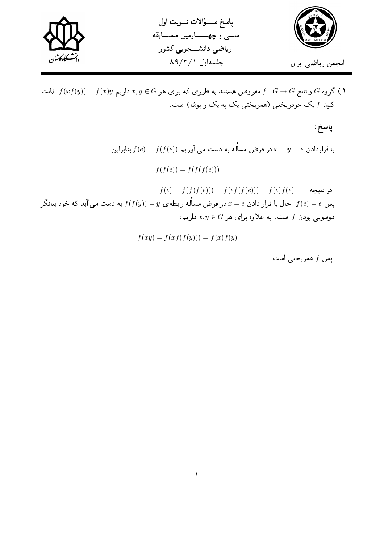

گروه G و تابع  $G \rightarrow G$  . فمروض هستند به طوری که برای هر $x, y \in G$  داریم  $f(xf(y)) = f(x)$ . ثابت  $f$ کنید  $f$  یک خودریختی (همریختی یک به یک و پوشا) است.

پاسخ:  
با قراردادن 
$$
x = y = e
$$
 در فرض مسالّه به دست می آوریم  $f(e) = f(f(e))$   
\n
$$
f(f(e)) = f(f(f(e)))
$$
  
\n
$$
f(e) = f(f(f(e))) = f(ef(f(e))) = f(e)f(e)
$$
  
\n $\neq$   
\n $\neq$   

$$
f(xy) = f(xf(f(y))) = f(x)f(y)
$$

پس f همريختي است.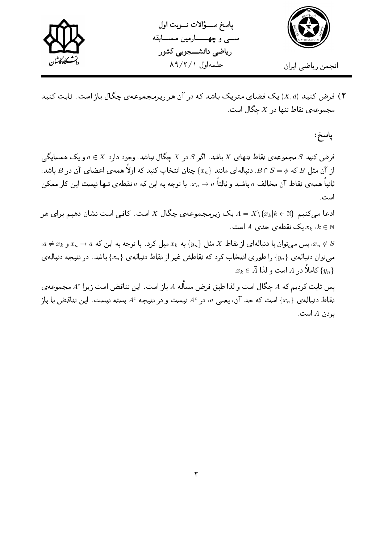

پاسخ سوأالات نوبت اول سے وچھــارمین مسـابقه ریاضی دانشـــجویی کشور جلسهاول ٨٩/٢/١



۲) فرض کنید (X, d) یک فضای متریک باشد که در آن هر زیرمجموعهی چگال باز است. ثابت کنید مجموعهي نقاط تنها در  $X$  چگال است.

پاسخ:

فرض کنید  $S$  مجموعهی نقاط تنهای  $X$  باشد. اگر  $S$  در  $X$  چگال نیاشد، وجود دارد  $X \in a \in X$  و یک همسایگی از آن مثل  $B$  که  $S=\cap S=\cup B$ . دنبالهای مانند  $\{x_n\}$  چنان انتخاب کنید که اولاً همه $\omega$  اعضای آن در  $B$  باشد، ثانیاً همهی نقاط آن مخالف  $a$  باشند و ثالثاً  $a\to x_n\to x$ . با توجه به این که  $a$  نقطهی تنها نیست این کار ممکن است .

ادعا میکنیم  $A = X \backslash \{x_k | k \in N\}$  یک زیرمجموعهی چگال  $X$  است. کافی است نشان دهیم برای هر یک نقطه $L$  حدی  $A$  است.  $x_k$  نه  $k \in \mathbb{N}$ 

 $a \neq x_k$  پس مے توان با دنبالہای از نقاط  $X$  مثل  $\{y_n\}$  به  $x_k$  میل کرد. با توجه به این که  $a \to x_n \to x$  و  $x_n \not\in S$ مه توان دنباله ی { $\{y_n\}$  را طوری انتخاب کرد که نقاطش غیر از نقاط دنباله ی { $x_n\}$  باشد. در نتیجه دنباله ی  $x_k \in \bar{A}$  کاملاً در  $A$  است و لذا  $\{y_n\}$ 

یس ثابت کردیم که  $A$  چگال است و لذا طبق فرض مسأله  $A$  باز است. این تناقض است زیرا  $A^c$  مجموعه $\omega$ نقاط دنبالهی  $\{x_n\}$  است که حد آن، یعنی  $a$ ، در  $A^c$  نیست و در نتیجه  $A^c$  بسته نیست. این تناقض با باز بودن  $A$  است.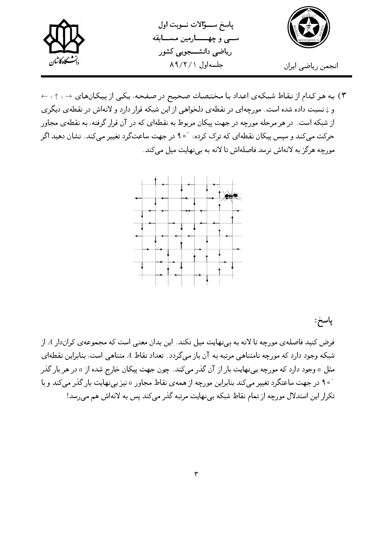



۳) به هر کدام از نقاط شبکهی اعداد با مختصات صحیح در صفحه، یکی از پیکانهای → ، ↑، ← و ↓نسبت داده شده است. مورچهای در نقطهی دلخواهی از این شبکه قرار دارد و لانهاش در نقطهی دیگری از شبکه است. در هر مرحله مورچه در جهت پیکان مربوط به نقطهای که در آن قرار گرفته، به نقطهی مجاور حرکت می کند و سپس پیکان نقطهای که ترک کرده، °۹۰ در جهت ساعتگرد تغییر می کند. نشان دهید اگر مورچه هرگز به لانهاش نرسد فاصلهاش تا لانه به بی نهایت میل می کند.



پاسخ:

فرض کنید فاصلهی مورچه تا لانه به ب<u>ی</u> نهایت میل نکند. این بدان معنی است که مجموعهی کراندار A از شبکه وجود دارد که مورچه نامتناهی مرتبه به آن باز میگردد. تعداد نقاط A متناهی است، بنابراین نقطهای مثل a وجود دارد که مورچه بی نهایت بار از آن گذر میکند. چون جهت پیکان خارج شده از a در هر بار گذر <sup>۰</sup> ۹۰ در جهت ساعتگرد تغییر میکند بنابراین مورچه از همه ی نقاط مجاور a نیز بینهایت بار گذر میکند و با تکرار این استدلال مورچه از تمام نقاط شبکه بی نهایت مرتبه گذر می کند پس به لانهاش هم می رسد!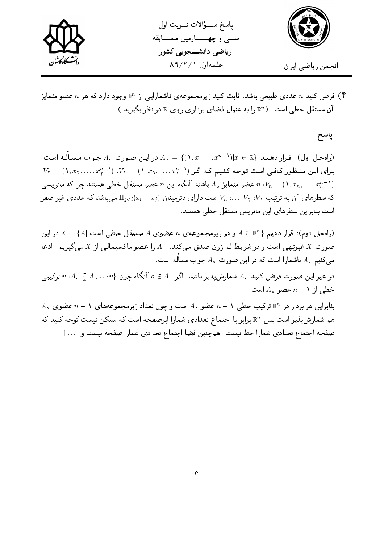

ياسخ سؤالات نوبت اول سے و چھـــارمین مســابقه ریاضی دانشـــجویی کشور جلسهاول ٨٩/٢/١



فرض کنید  $n$  عددی طبیعی باشد. ثابت کنید زیرمجموعهی ناشمارایی از  $\mathbb{R}^n$  وجود دارد که هر  $n$  عضو متمایز ( آن مستقل خطی است. ( Rn را به عنوان فضای برداری روی R در نظر بگیرید.)

پاسخ:

. (راه حل اول): قرار دهید  $x \in \mathbb{R}$   $(x, \ldots, x^{n-1})$   $x \in \{ (1, x, \ldots, x^{n-1}) | x \in \mathbb{R} \}$  مسأله است.  $V_1 = (1, x_1, \ldots, x_r^{n-1})$  برای این منظور کافی است توجه کنیم که اگر  $V_1 = (1, x_1, \ldots, x_r^{n-1})$  . عضو متمایز  $A$  باشند آنگاه این  $n$  عضو مستقل خطی هستند چرا که ماتریسی  $N$ ،  $V_n = (1, x_n, \ldots, x_n^{n-1})$ که سطرهای آن به ترتیب ۲٫۰٪ ، $V_1$  ، ... ،  $V_2$  است دارای دترمینان  $\text{II}_{j < i}(x_i - x_j)$  میباشد که عددی غیر صفر است بنابراین سطرهای این ماتریس مستقل خطی هستند.

راه حل دوم): قرار دهیم  $A \subseteq \mathbb{R}^n$  و هر زیرمجموعه ی  $n$  عضوی A مستقل خطی است  $X = \{A | X \in \mathbb{R}^n\}$  در این صورت  $X$  غیرتهی است و در شرایط لم زرن صدق میکند.  $A$  را عضو ماکسیمالی از X میگیریم. ادعا می کنیم ه A داشمارا است که در این صورت  $A$  جواب مساله است.

در غیر این صورت فرض کنید 4. شمارشپذیر باشد. اگر 4. $\not\in N$  آنگاه چون  $\{v\} \cup \{v\}$  ، 4. 7 ترکیبی خطی از  $n-1$  عضو  $A_{\circ}$  است.

 $A$  , بنابراین هر بردار در  $\mathbb{R}^n$  ترکیب خطی ۱ $n-1$  عضو  $A$  است و چون تعداد زیرمجموعههای ۱ $n-1$  عضوی هم شمارشپذیر است پس  $\mathbb{R}^n$  برابر با اجتماع تعدادی شمارا ابرصفحه است که ممکن نیست[توجه کنید که صفحه اجتماع تعدادي شمارا خط نيست. هم چنين فضا اجتماع تعدادي شمارا صفحه نيست و … ]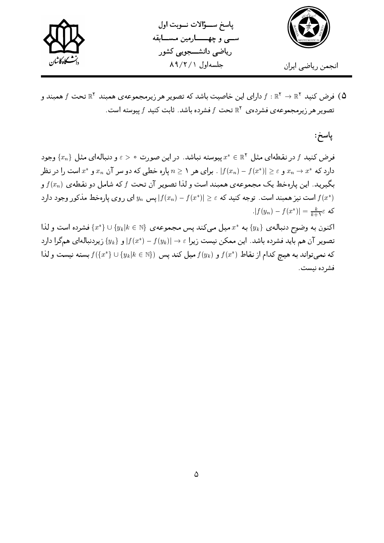



فرض کنید  $f:\mathbb{R}^7\to\mathbb{R}^7$  دارای این خاصیت باشد که تصویر هر زیرمجموعهی همیند  $\mathbb{R}^7$  تحت  $f$  همیند و  $\Delta$ تصویر هر زیرمجموعهی فشردهی  $\mathbb{R}^{\mathsf{Y}}$  تحت  $f$  فشرده باشد. ثابت کنید  $f$  پیوسته است.

پاسخ:

فرض کنید  $f$  در نقطهای مثل  $x^*\in\mathbb{R}^\mathsf{Y}$  پیوسته نباشد. در این صورت  $\varepsilon>\varepsilon>0$  و دنبالهای مثل  $\{x_n\}$  وجود دارد که \* $x^*$  و $x \in [f(x_n) - f(x^*)]$  . برای هر ۱ $n \geq n$  یاره خطبی که دو سر آن  $x_n$  و \* $x$  است را در نظر بگیرید. این پارهخط یک مجموعهی همبند است و لذا تصویر آن تحت  $f$  که شامل دو نقطهی  $f(x_n)$  و است نیز همبند است. توجه کنید که $f(x^*)|\geq 1+(x^*)$  پس  $y_n$  ای روی پارهخط مذکور وجود دارد  $f(x^*)$  $|f(y_n) - f(x^*)| = \frac{k}{k+1} \varepsilon$  که

اکنون به وضوح دنبالهی  $\{y_k\}$  به  $x^*$  میل میکند پس مجموعهی  $\{y_k | k \in \{x^*\} \cup \{x^*\}$  فشرده است و لذا تصویر آن هم باید فشرده باشد. این ممکن نیست زیرا $\varepsilon\mapsto f(y_k)-f(x^*)-f(x^*)$  و { $y_k\}$  زیردنبالهای همگرا دارد که نمیتواند به هیچ کدام از نقاط  $f(x^*)$  و  $f(y_k)$  میل کند پس  $\{y_k | k \in \{x^*\} \cup \{x^*\}$  بسته نیست و لذا فشرده نيست.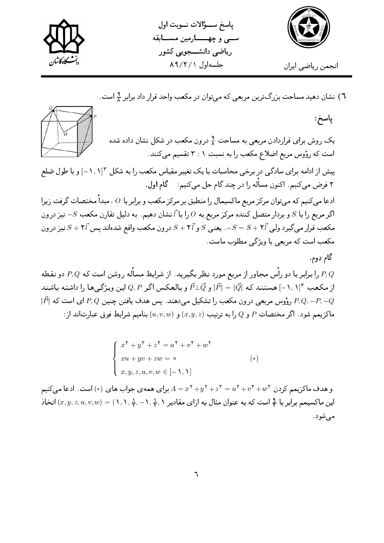

پاسخ سوأالات نوبت اول سے و چھـــارمین مســابقه ریاضی دانشـــجویے کشور جلسهاول ٨٩/٢/١



٦) نشان دهید مساحت بزرگترین مربعی که می توان در مکعب واحد قرار داد برابر ٩ است.

پاسخ: یک روش برای قراردادن مربعی به مساحت <del>۱٫</del> درون مکعب در شکل نشان داده شده است که رؤوس مربع اضلاع مکعب را به نسبت ۲ : ۲ تقسیم میکنند. پیش از ادامه برای سادگی در برخی محاسبات با یک تغییر مقیاس مکعب را به شکل ۱٫۱٫۳=] و با طول ضلع ۲ فرض میکنیم. اکنون مسأله را در چند گام حل میکنیم: گام اول. ادعا می کنیم که می توان مرکز مربع ماکسیمال را منطبق بر مرکز مکعب و برابر با 0 ، مبدأ مختصات گرفت زیرا اگر مربع را با 5 و بردار متصل کننده مرکز مربع به 0 را با آ نشان دهیم. به دلیل تقارن مکعب  $S$ – نیز درون مکعب قرار میگیرد ولی  $S + \mathtt{Y}^7 = S = -1$ . یعنبی  $S$  و  $S + \mathtt{Y}^7$  درون مکعب واقع شدهاند پس  $S + \mathtt{Y}^7$  نیز درون مکعب است که مربعی با ویژگی مطلوب ماست. گام دوم. را برابر با دو رأس مجاور از مربع مورد نظر بگیرید. از شرایط مسأله روشن است که  $P,Q$  دو نقطه  $P,Q$ از مکعب ۱٫ ۱] هستند که  $|\vec{P}|=|\vec{Q}|$  و بالعکس اگر  $P,P$  این ویژگی ها را داشته باشند  $[-1,1]^{\mathsf{r}}$  $|\vec{P}|$  رؤوس مربعی درون مکعب را تشکیل می دهند. پس هدف یافتن چنین  $P, Q$  ای است که  $|\vec{P}|$ . ماكزيمم شود. اگر مختصات P و Q را به ترتيب  $(x,y,z)$  و  $(u,v,w)$  بناميم شرايط فوق عبارتاند از

$$
\begin{cases}\nx^{\mathsf{T}} + y^{\mathsf{T}} + z^{\mathsf{T}} = u^{\mathsf{T}} + v^{\mathsf{T}} + w^{\mathsf{T}} \\
xu + yv + zw = \circ \\
x, y, z, u, v, w \in [-1, 1]\n\end{cases} (*)
$$

و هدف ماکزیمم کردن  $w^{\mathsf{Y}} + w^{\mathsf{Y}} + w^{\mathsf{Y}} + z^{\mathsf{Y}} = x^{\mathsf{Y}} + y^{\mathsf{Y}} + z^{\mathsf{Y}} = x^{\mathsf{Y}} + y^{\mathsf{Y}} + y^{\mathsf{Y}} + y^{\mathsf{Y}} + y^{\mathsf{Y}} + y^{\mathsf{Y}} + y^{\mathsf{Y}}$ این ماکسیمم برابر با گچ است که به عنوان مثال به ازای مقادیر ۰٫ (+, - , +, - , +) = (x, y, z, u, v, w) اتخاذ مى شود.